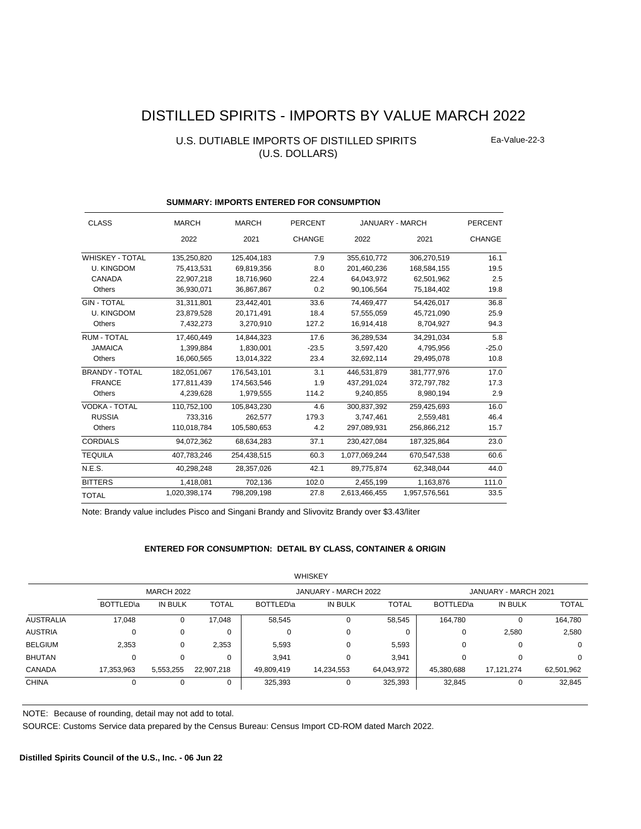# DISTILLED SPIRITS - IMPORTS BY VALUE MARCH 2022

# U.S. DUTIABLE IMPORTS OF DISTILLED SPIRITS (U.S. DOLLARS)

Ea-Value-22-3

| <b>CLASS</b>           | <b>MARCH</b>  | <b>MARCH</b> | <b>PERCENT</b> | JANUARY - MARCH |               | <b>PERCENT</b> |
|------------------------|---------------|--------------|----------------|-----------------|---------------|----------------|
|                        | 2022          | 2021         | <b>CHANGE</b>  | 2022            | 2021          | <b>CHANGE</b>  |
| <b>WHISKEY - TOTAL</b> | 135,250,820   | 125,404,183  | 7.9            | 355,610,772     | 306,270,519   | 16.1           |
| <b>U. KINGDOM</b>      | 75,413,531    | 69,819,356   | 8.0            | 201,460,236     | 168,584,155   | 19.5           |
| CANADA                 | 22,907,218    | 18,716,960   | 22.4           | 64,043,972      | 62,501,962    | 2.5            |
| Others                 | 36,930,071    | 36,867,867   | 0.2            | 90,106,564      | 75,184,402    | 19.8           |
| <b>GIN - TOTAL</b>     | 31,311,801    | 23,442,401   | 33.6           | 74,469,477      | 54,426,017    | 36.8           |
| <b>U. KINGDOM</b>      | 23,879,528    | 20,171,491   | 18.4           | 57,555,059      | 45,721,090    | 25.9           |
| Others                 | 7,432,273     | 3,270,910    | 127.2          | 16,914,418      | 8,704,927     | 94.3           |
| <b>RUM - TOTAL</b>     | 17.460.449    | 14.844.323   | 17.6           | 36.289.534      | 34.291.034    | 5.8            |
| <b>JAMAICA</b>         | 1,399,884     | 1,830,001    | $-23.5$        | 3,597,420       | 4,795,956     | $-25.0$        |
| Others                 | 16,060,565    | 13,014,322   | 23.4           | 32,692,114      | 29,495,078    | 10.8           |
| <b>BRANDY - TOTAL</b>  | 182.051.067   | 176,543,101  | 3.1            | 446.531.879     | 381.777.976   | 17.0           |
| <b>FRANCE</b>          | 177,811,439   | 174,563,546  | 1.9            | 437,291,024     | 372,797,782   | 17.3           |
| Others                 | 4,239,628     | 1,979,555    | 114.2          | 9,240,855       | 8,980,194     | 2.9            |
| <b>VODKA - TOTAL</b>   | 110,752,100   | 105,843,230  | 4.6            | 300,837,392     | 259,425,693   | 16.0           |
| <b>RUSSIA</b>          | 733.316       | 262.577      | 179.3          | 3,747,461       | 2,559,481     | 46.4           |
| Others                 | 110,018,784   | 105,580,653  | 4.2            | 297,089,931     | 256,866,212   | 15.7           |
| <b>CORDIALS</b>        | 94,072,362    | 68,634,283   | 37.1           | 230,427,084     | 187,325,864   | 23.0           |
| <b>TEQUILA</b>         | 407,783,246   | 254,438,515  | 60.3           | 1,077,069,244   | 670,547,538   | 60.6           |
| N.E.S.                 | 40,298,248    | 28,357,026   | 42.1           | 89,775,874      | 62,348,044    | 44.0           |
| <b>BITTERS</b>         | 1,418,081     | 702,136      | 102.0          | 2,455,199       | 1,163,876     | 111.0          |
| <b>TOTAL</b>           | 1,020,398,174 | 798,209,198  | 27.8           | 2,613,466,455   | 1,957,576,561 | 33.5           |

#### **SUMMARY: IMPORTS ENTERED FOR CONSUMPTION**

Note: Brandy value includes Pisco and Singani Brandy and Slivovitz Brandy over \$3.43/liter

#### **ENTERED FOR CONSUMPTION: DETAIL BY CLASS, CONTAINER & ORIGIN**

|                  |                   |           |              |            | <b>WHISKEY</b>       |              |                      |                |              |
|------------------|-------------------|-----------|--------------|------------|----------------------|--------------|----------------------|----------------|--------------|
|                  | <b>MARCH 2022</b> |           |              |            | JANUARY - MARCH 2022 |              | JANUARY - MARCH 2021 |                |              |
|                  | BOTTLED\a         | IN BULK   | <b>TOTAL</b> | BOTTLED\a  | IN BULK              | <b>TOTAL</b> | BOTTLED\a            | <b>IN BULK</b> | <b>TOTAL</b> |
| <b>AUSTRALIA</b> | 17,048            | 0         | 17,048       | 58,545     |                      | 58,545       | 164,780              |                | 164,780      |
| <b>AUSTRIA</b>   | 0                 | $\Omega$  | 0            |            | 0                    | $\mathbf{0}$ | 0                    | 2,580          | 2,580        |
| <b>BELGIUM</b>   | 2,353             | 0         | 2,353        | 5,593      | $\Omega$             | 5,593        | 0                    |                | 0            |
| <b>BHUTAN</b>    | 0                 | 0         | 0            | 3.941      | 0                    | 3,941        | 0                    |                | 0            |
| <b>CANADA</b>    | 17,353,963        | 5,553,255 | 22,907,218   | 49,809,419 | 14,234,553           | 64,043,972   | 45,380,688           | 17,121,274     | 62,501,962   |
| <b>CHINA</b>     | 0                 | 0         | 0            | 325,393    | 0                    | 325,393      | 32,845               |                | 32,845       |

 $W$ 

NOTE: Because of rounding, detail may not add to total.

SOURCE: Customs Service data prepared by the Census Bureau: Census Import CD-ROM dated March 2022.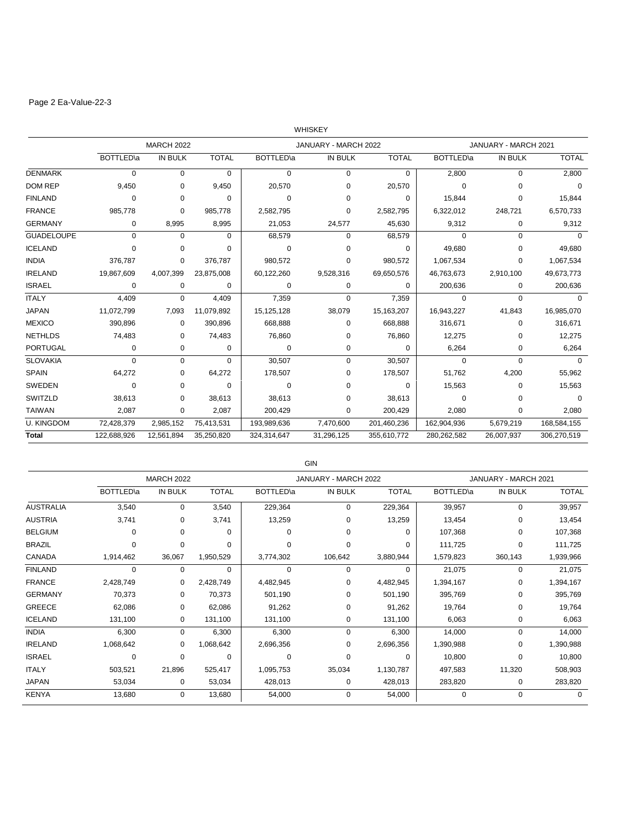# Page 2 Ea-Value-22-3

|                   |                   |                   |              |                   | WHISKEY              |              |                   |                      |              |
|-------------------|-------------------|-------------------|--------------|-------------------|----------------------|--------------|-------------------|----------------------|--------------|
|                   |                   | <b>MARCH 2022</b> |              |                   | JANUARY - MARCH 2022 |              |                   | JANUARY - MARCH 2021 |              |
|                   | <b>BOTTLED</b> \a | <b>IN BULK</b>    | <b>TOTAL</b> | <b>BOTTLED</b> \a | <b>IN BULK</b>       | <b>TOTAL</b> | <b>BOTTLED</b> \a | <b>IN BULK</b>       | <b>TOTAL</b> |
| <b>DENMARK</b>    | 0                 | $\mathbf 0$       | 0            | 0                 | $\mathbf 0$          | 0            | 2,800             | $\mathbf 0$          | 2,800        |
| <b>DOM REP</b>    | 9,450             | 0                 | 9,450        | 20,570            | 0                    | 20,570       | $\mathbf 0$       | $\Omega$             | $\Omega$     |
| <b>FINLAND</b>    | 0                 | 0                 | $\Omega$     | $\Omega$          | 0                    | 0            | 15,844            | 0                    | 15,844       |
| <b>FRANCE</b>     | 985,778           | $\Omega$          | 985.778      | 2,582,795         | 0                    | 2,582,795    | 6,322,012         | 248,721              | 6,570,733    |
| <b>GERMANY</b>    | 0                 | 8,995             | 8,995        | 21,053            | 24,577               | 45,630       | 9,312             | 0                    | 9,312        |
| <b>GUADELOUPE</b> | $\Omega$          | $\Omega$          | 0            | 68,579            | $\Omega$             | 68,579       | $\Omega$          | $\Omega$             | $\Omega$     |
| <b>ICELAND</b>    | 0                 | 0                 | $\Omega$     | 0                 | $\Omega$             | $\Omega$     | 49,680            | 0                    | 49,680       |
| <b>INDIA</b>      | 376,787           | 0                 | 376.787      | 980,572           | 0                    | 980,572      | 1,067,534         | $\Omega$             | 1,067,534    |
| <b>IRELAND</b>    | 19,867,609        | 4,007,399         | 23,875,008   | 60,122,260        | 9,528,316            | 69,650,576   | 46,763,673        | 2,910,100            | 49,673,773   |
| <b>ISRAEL</b>     | 0                 | 0                 | 0            | 0                 | 0                    | 0            | 200,636           | 0                    | 200,636      |
| <b>ITALY</b>      | 4,409             | $\mathbf 0$       | 4,409        | 7,359             | $\Omega$             | 7,359        | 0                 | $\Omega$             | $\Omega$     |
| <b>JAPAN</b>      | 11,072,799        | 7,093             | 11,079,892   | 15,125,128        | 38,079               | 15,163,207   | 16,943,227        | 41,843               | 16,985,070   |
| <b>MEXICO</b>     | 390,896           | 0                 | 390,896      | 668,888           | 0                    | 668,888      | 316,671           | 0                    | 316,671      |
| <b>NETHLDS</b>    | 74,483            | 0                 | 74,483       | 76,860            | 0                    | 76,860       | 12,275            | 0                    | 12,275       |
| <b>PORTUGAL</b>   | 0                 | 0                 | 0            | 0                 | 0                    | 0            | 6,264             | 0                    | 6,264        |
| <b>SLOVAKIA</b>   | $\Omega$          | $\Omega$          | $\Omega$     | 30,507            | $\Omega$             | 30,507       | $\Omega$          | $\Omega$             | $\Omega$     |
| <b>SPAIN</b>      | 64,272            | 0                 | 64,272       | 178,507           | 0                    | 178,507      | 51,762            | 4,200                | 55,962       |
| SWEDEN            | $\Omega$          | $\Omega$          | $\Omega$     | $\Omega$          | 0                    | 0            | 15,563            | $\Omega$             | 15,563       |
| SWITZLD           | 38,613            | 0                 | 38,613       | 38,613            | 0                    | 38,613       | 0                 | $\Omega$             | $\Omega$     |
| <b>TAIWAN</b>     | 2,087             | 0                 | 2,087        | 200,429           | 0                    | 200,429      | 2,080             | 0                    | 2,080        |
| <b>U. KINGDOM</b> | 72,428,379        | 2,985,152         | 75,413,531   | 193,989,636       | 7,470,600            | 201,460,236  | 162,904,936       | 5,679,219            | 168,584,155  |
| <b>Total</b>      | 122,688,926       | 12,561,894        | 35,250,820   | 324,314,647       | 31,296,125           | 355,610,772  | 280,262,582       | 26,007,937           | 306,270,519  |
|                   |                   |                   |              |                   |                      |              |                   |                      |              |

|                  |           | <b>MARCH 2022</b> |              |                   | JANUARY - MARCH 2022 |              |                   | JANUARY - MARCH 2021 |              |  |
|------------------|-----------|-------------------|--------------|-------------------|----------------------|--------------|-------------------|----------------------|--------------|--|
|                  | BOTTLED\a | <b>IN BULK</b>    | <b>TOTAL</b> | <b>BOTTLED</b> \a | IN BULK              | <b>TOTAL</b> | <b>BOTTLED</b> \a | IN BULK              | <b>TOTAL</b> |  |
| <b>AUSTRALIA</b> | 3,540     | 0                 | 3,540        | 229,364           | $\Omega$             | 229,364      | 39,957            | $\Omega$             | 39,957       |  |
| <b>AUSTRIA</b>   | 3,741     | 0                 | 3,741        | 13,259            | 0                    | 13,259       | 13,454            | 0                    | 13,454       |  |
| <b>BELGIUM</b>   | 0         | $\Omega$          | $\Omega$     | O                 | $\Omega$             | O            | 107,368           | 0                    | 107,368      |  |
| <b>BRAZIL</b>    | 0         | 0                 | 0            | $\Omega$          | $\Omega$             | 0            | 111,725           | 0                    | 111,725      |  |
| CANADA           | 1,914,462 | 36,067            | 1,950,529    | 3,774,302         | 106,642              | 3,880,944    | 1,579,823         | 360,143              | 1,939,966    |  |
| <b>FINLAND</b>   | 0         | 0                 | $\Omega$     | $\Omega$          | $\Omega$             | 0            | 21,075            | 0                    | 21,075       |  |
| <b>FRANCE</b>    | 2,428,749 | 0                 | 2,428,749    | 4,482,945         | 0                    | 4,482,945    | 1,394,167         | 0                    | 1,394,167    |  |
| <b>GERMANY</b>   | 70,373    | 0                 | 70,373       | 501,190           | 0                    | 501,190      | 395,769           | 0                    | 395,769      |  |
| <b>GREECE</b>    | 62,086    | 0                 | 62,086       | 91,262            | 0                    | 91,262       | 19,764            | 0                    | 19,764       |  |
| <b>ICELAND</b>   | 131,100   | 0                 | 131,100      | 131,100           | 0                    | 131,100      | 6,063             | 0                    | 6,063        |  |
| <b>INDIA</b>     | 6,300     | 0                 | 6,300        | 6,300             | 0                    | 6,300        | 14,000            | 0                    | 14,000       |  |
| <b>IRELAND</b>   | 1,068,642 | 0                 | 1,068,642    | 2,696,356         | 0                    | 2,696,356    | 1,390,988         | 0                    | 1,390,988    |  |
| <b>ISRAEL</b>    | 0         | 0                 | 0            | 0                 | $\Omega$             | $\Omega$     | 10,800            | 0                    | 10,800       |  |
| <b>ITALY</b>     | 503,521   | 21,896            | 525,417      | 1,095,753         | 35,034               | 1,130,787    | 497,583           | 11,320               | 508,903      |  |
| <b>JAPAN</b>     | 53,034    | 0                 | 53,034       | 428,013           | 0                    | 428,013      | 283,820           | 0                    | 283,820      |  |
| <b>KENYA</b>     | 13,680    | 0                 | 13,680       | 54,000            | 0                    | 54,000       | 0                 | $\mathbf 0$          | $\Omega$     |  |
|                  |           |                   |              |                   |                      |              |                   |                      |              |  |

GIN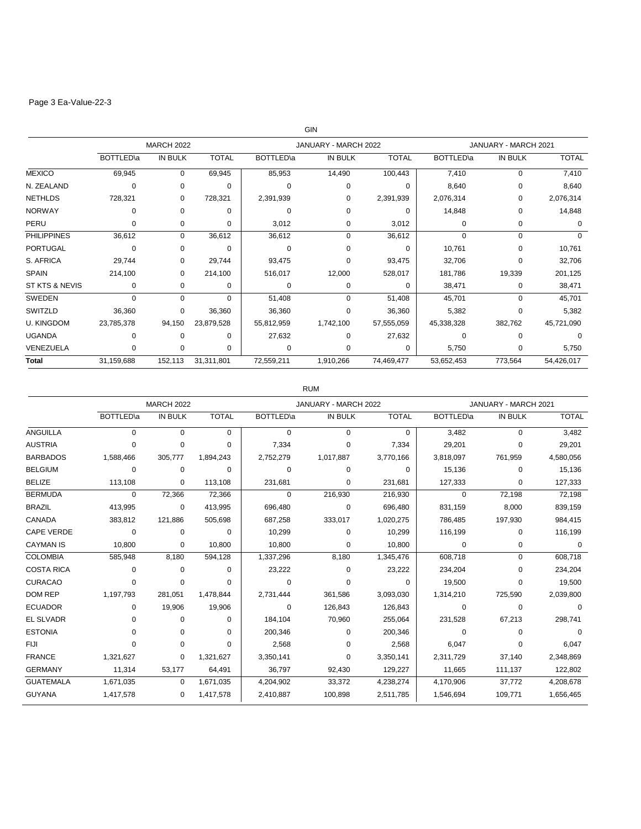## Page 3 Ea-Value-22-3

|                    |            |                   |              |            | GIN                  |              |                      |          |              |
|--------------------|------------|-------------------|--------------|------------|----------------------|--------------|----------------------|----------|--------------|
|                    |            | <b>MARCH 2022</b> |              |            | JANUARY - MARCH 2022 |              | JANUARY - MARCH 2021 |          |              |
|                    | BOTTLED\a  | <b>IN BULK</b>    | <b>TOTAL</b> | BOTTLED\a  | <b>IN BULK</b>       | <b>TOTAL</b> | <b>BOTTLED</b> la    | IN BULK  | <b>TOTAL</b> |
| <b>MEXICO</b>      | 69,945     | $\Omega$          | 69,945       | 85,953     | 14,490               | 100,443      | 7,410                | $\Omega$ | 7,410        |
| N. ZEALAND         | 0          | 0                 | $\Omega$     | $\Omega$   | $\Omega$             | $\Omega$     | 8,640                | 0        | 8,640        |
| <b>NETHLDS</b>     | 728,321    | 0                 | 728,321      | 2,391,939  | $\Omega$             | 2,391,939    | 2,076,314            | $\Omega$ | 2,076,314    |
| <b>NORWAY</b>      | 0          | $\Omega$          | $\Omega$     | $\Omega$   | $\Omega$             | $\Omega$     | 14,848               | 0        | 14,848       |
| PERU               | 0          | 0                 | 0            | 3,012      | 0                    | 3,012        | 0                    | 0        | $\Omega$     |
| <b>PHILIPPINES</b> | 36,612     | 0                 | 36,612       | 36,612     | $\Omega$             | 36,612       | 0                    | 0        | $\Omega$     |
| <b>PORTUGAL</b>    | 0          | 0                 | 0            | 0          | $\Omega$             | $\Omega$     | 10,761               | 0        | 10,761       |
| S. AFRICA          | 29,744     | 0                 | 29,744       | 93,475     | $\Omega$             | 93,475       | 32,706               | $\Omega$ | 32,706       |
| <b>SPAIN</b>       | 214,100    | 0                 | 214,100      | 516,017    | 12,000               | 528,017      | 181,786              | 19,339   | 201,125      |
| ST KTS & NEVIS     | 0          | 0                 | 0            | 0          | 0                    | $\Omega$     | 38,471               | 0        | 38,471       |
| SWEDEN             | 0          | $\Omega$          | $\Omega$     | 51,408     | 0                    | 51,408       | 45,701               | 0        | 45,701       |
| SWITZLD            | 36,360     | 0                 | 36,360       | 36,360     | $\Omega$             | 36,360       | 5,382                | $\Omega$ | 5,382        |
| <b>U. KINGDOM</b>  | 23,785,378 | 94,150            | 23,879,528   | 55,812,959 | 1,742,100            | 57,555,059   | 45,338,328           | 382,762  | 45,721,090   |
| <b>UGANDA</b>      | 0          | $\Omega$          | $\Omega$     | 27,632     | $\Omega$             | 27,632       | 0                    | $\Omega$ | $\Omega$     |
| VENEZUELA          | $\Omega$   | $\Omega$          | $\Omega$     | $\Omega$   | $\Omega$             | $\Omega$     | 5,750                | 0        | 5,750        |
| <b>Total</b>       | 31,159,688 | 152,113           | 31,311,801   | 72,559,211 | 1,910,266            | 74,469,477   | 53,652,453           | 773,564  | 54,426,017   |

RUM

|                   |                   | <b>MARCH 2022</b> |              |                  | JANUARY - MARCH 2022 |              | JANUARY - MARCH 2021 |          |              |
|-------------------|-------------------|-------------------|--------------|------------------|----------------------|--------------|----------------------|----------|--------------|
|                   | <b>BOTTLED</b> \a | <b>IN BULK</b>    | <b>TOTAL</b> | <b>BOTTLED\a</b> | <b>IN BULK</b>       | <b>TOTAL</b> | <b>BOTTLED</b> la    | IN BULK  | <b>TOTAL</b> |
| ANGUILLA          | $\Omega$          | $\mathbf 0$       | $\Omega$     | $\Omega$         | $\Omega$             | 0            | 3,482                | $\Omega$ | 3,482        |
| <b>AUSTRIA</b>    | 0                 | 0                 | $\Omega$     | 7,334            | $\Omega$             | 7,334        | 29,201               | 0        | 29,201       |
| <b>BARBADOS</b>   | 1,588,466         | 305,777           | 1,894,243    | 2,752,279        | 1,017,887            | 3,770,166    | 3,818,097            | 761,959  | 4,580,056    |
| <b>BELGIUM</b>    | $\Omega$          | $\mathbf 0$       | $\Omega$     | $\Omega$         | $\Omega$             | $\Omega$     | 15,136               | $\Omega$ | 15,136       |
| <b>BELIZE</b>     | 113,108           | $\Omega$          | 113,108      | 231,681          | 0                    | 231,681      | 127,333              | 0        | 127,333      |
| <b>BERMUDA</b>    | $\Omega$          | 72,366            | 72,366       | $\Omega$         | 216,930              | 216,930      | $\mathbf 0$          | 72,198   | 72,198       |
| <b>BRAZIL</b>     | 413,995           | $\Omega$          | 413,995      | 696,480          | $\Omega$             | 696,480      | 831,159              | 8,000    | 839,159      |
| CANADA            | 383,812           | 121,886           | 505,698      | 687,258          | 333,017              | 1,020,275    | 786,485              | 197,930  | 984,415      |
| <b>CAPE VERDE</b> | $\mathbf 0$       | 0                 | $\Omega$     | 10,299           | 0                    | 10,299       | 116,199              | $\Omega$ | 116,199      |
| <b>CAYMAN IS</b>  | 10,800            | $\Omega$          | 10,800       | 10,800           | $\Omega$             | 10,800       | $\mathbf 0$          | 0        | $\Omega$     |
| <b>COLOMBIA</b>   | 585,948           | 8.180             | 594,128      | 1,337,296        | 8,180                | 1,345,476    | 608,718              | 0        | 608,718      |
| <b>COSTA RICA</b> | 0                 | $\Omega$          | $\Omega$     | 23,222           | $\Omega$             | 23,222       | 234,204              | $\Omega$ | 234,204      |
| <b>CURACAO</b>    | 0                 | $\Omega$          | $\Omega$     | $\Omega$         | $\Omega$             | $\Omega$     | 19,500               | O        | 19,500       |
| <b>DOM REP</b>    | 1,197,793         | 281,051           | 1,478,844    | 2,731,444        | 361,586              | 3,093,030    | 1,314,210            | 725,590  | 2,039,800    |
| <b>ECUADOR</b>    | 0                 | 19,906            | 19,906       | 0                | 126,843              | 126,843      | 0                    | $\Omega$ | $\Omega$     |
| <b>EL SLVADR</b>  | $\Omega$          | $\Omega$          | $\Omega$     | 184,104          | 70.960               | 255,064      | 231,528              | 67,213   | 298,741      |
| <b>ESTONIA</b>    | 0                 | $\Omega$          | $\Omega$     | 200,346          | $\Omega$             | 200,346      | 0                    | $\Omega$ | $\Omega$     |
| FIJI              | 0                 | $\Omega$          | $\Omega$     | 2,568            | $\Omega$             | 2,568        | 6,047                | 0        | 6,047        |
| <b>FRANCE</b>     | 1,321,627         | $\Omega$          | 1,321,627    | 3,350,141        | $\Omega$             | 3,350,141    | 2,311,729            | 37.140   | 2,348,869    |
| <b>GERMANY</b>    | 11,314            | 53,177            | 64,491       | 36,797           | 92,430               | 129,227      | 11,665               | 111,137  | 122,802      |
| <b>GUATEMALA</b>  | 1,671,035         | $\Omega$          | 1,671,035    | 4,204,902        | 33,372               | 4,238,274    | 4,170,906            | 37,772   | 4,208,678    |
| <b>GUYANA</b>     | 1,417,578         | 0                 | 1,417,578    | 2,410,887        | 100,898              | 2,511,785    | 1,546,694            | 109,771  | 1,656,465    |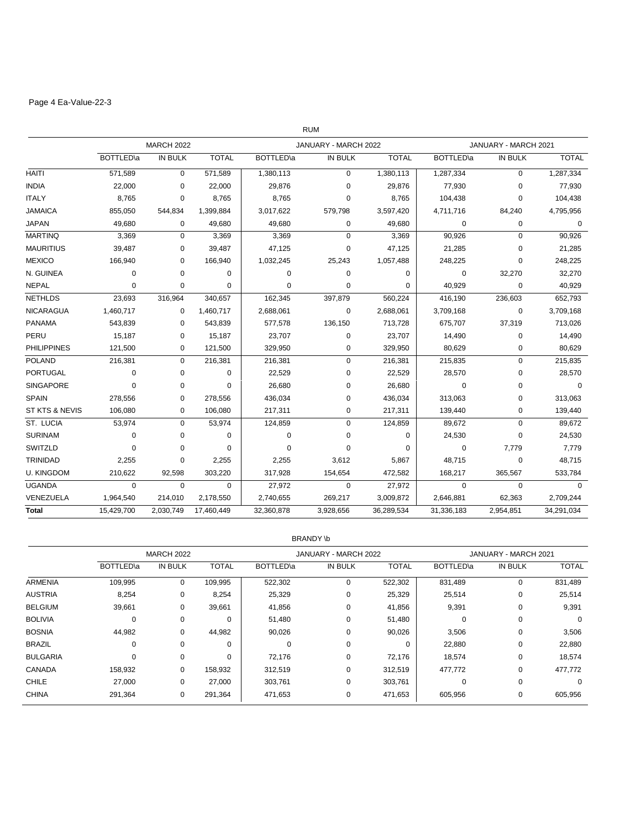## Page 4 Ea-Value-22-3

|                    |                   |                   |              |                   | <b>RUM</b>           |              |                   |                      |              |
|--------------------|-------------------|-------------------|--------------|-------------------|----------------------|--------------|-------------------|----------------------|--------------|
|                    |                   | <b>MARCH 2022</b> |              |                   | JANUARY - MARCH 2022 |              |                   | JANUARY - MARCH 2021 |              |
|                    | <b>BOTTLED</b> \a | IN BULK           | <b>TOTAL</b> | <b>BOTTLED</b> \a | IN BULK              | <b>TOTAL</b> | <b>BOTTLED</b> \a | IN BULK              | <b>TOTAL</b> |
| <b>HAITI</b>       | 571,589           | $\mathbf 0$       | 571,589      | 1,380,113         | 0                    | 1,380,113    | 1,287,334         | $\mathbf 0$          | 1,287,334    |
| <b>INDIA</b>       | 22,000            | 0                 | 22,000       | 29,876            | $\mathbf 0$          | 29,876       | 77,930            | $\mathbf 0$          | 77,930       |
| <b>ITALY</b>       | 8,765             | 0                 | 8,765        | 8,765             | 0                    | 8,765        | 104,438           | $\mathbf 0$          | 104,438      |
| <b>JAMAICA</b>     | 855,050           | 544,834           | 1,399,884    | 3,017,622         | 579,798              | 3,597,420    | 4,711,716         | 84,240               | 4,795,956    |
| <b>JAPAN</b>       | 49,680            | 0                 | 49,680       | 49,680            | 0                    | 49,680       | 0                 | $\mathbf 0$          | $\mathbf 0$  |
| <b>MARTINQ</b>     | 3,369             | $\mathbf 0$       | 3,369        | 3,369             | 0                    | 3,369        | 90,926            | $\mathbf 0$          | 90,926       |
| <b>MAURITIUS</b>   | 39,487            | 0                 | 39,487       | 47,125            | 0                    | 47,125       | 21,285            | $\mathbf 0$          | 21,285       |
| <b>MEXICO</b>      | 166,940           | 0                 | 166,940      | 1,032,245         | 25,243               | 1,057,488    | 248,225           | 0                    | 248,225      |
| N. GUINEA          | 0                 | $\Omega$          | $\Omega$     | 0                 | $\Omega$             | $\Omega$     | 0                 | 32,270               | 32,270       |
| <b>NEPAL</b>       | 0                 | $\mathbf 0$       | 0            | 0                 | 0                    | 0            | 40,929            | $\mathbf 0$          | 40,929       |
| <b>NETHLDS</b>     | 23,693            | 316,964           | 340,657      | 162,345           | 397,879              | 560,224      | 416,190           | 236,603              | 652,793      |
| <b>NICARAGUA</b>   | 1,460,717         | 0                 | 1,460,717    | 2,688,061         | 0                    | 2,688,061    | 3,709,168         | $\pmb{0}$            | 3,709,168    |
| <b>PANAMA</b>      | 543,839           | 0                 | 543,839      | 577,578           | 136,150              | 713,728      | 675,707           | 37,319               | 713,026      |
| PERU               | 15,187            | 0                 | 15,187       | 23,707            | $\mathbf 0$          | 23,707       | 14,490            | $\mathbf 0$          | 14,490       |
| <b>PHILIPPINES</b> | 121,500           | 0                 | 121,500      | 329,950           | 0                    | 329,950      | 80,629            | 0                    | 80,629       |
| <b>POLAND</b>      | 216,381           | $\mathbf 0$       | 216,381      | 216,381           | 0                    | 216,381      | 215,835           | $\pmb{0}$            | 215,835      |
| <b>PORTUGAL</b>    | $\mathbf 0$       | 0                 | $\Omega$     | 22,529            | $\mathbf 0$          | 22,529       | 28,570            | $\mathbf 0$          | 28,570       |
| <b>SINGAPORE</b>   | 0                 | 0                 | $\mathbf 0$  | 26,680            | 0                    | 26,680       | $\mathbf 0$       | $\mathbf 0$          | $\mathbf 0$  |
| <b>SPAIN</b>       | 278,556           | 0                 | 278,556      | 436,034           | 0                    | 436,034      | 313,063           | $\mathbf 0$          | 313,063      |
| ST KTS & NEVIS     | 106,080           | 0                 | 106,080      | 217,311           | 0                    | 217,311      | 139,440           | 0                    | 139,440      |
| ST. LUCIA          | 53,974            | $\mathbf 0$       | 53,974       | 124,859           | $\mathbf 0$          | 124,859      | 89,672            | $\mathbf 0$          | 89,672       |
| <b>SURINAM</b>     | $\mathbf 0$       | 0                 | $\Omega$     | $\mathbf 0$       | $\mathbf 0$          | $\Omega$     | 24,530            | $\mathbf 0$          | 24,530       |
| SWITZLD            | 0                 | 0                 | $\mathbf 0$  | $\mathbf 0$       | $\Omega$             | 0            | $\mathbf 0$       | 7,779                | 7,779        |
| TRINIDAD           | 2,255             | 0                 | 2,255        | 2,255             | 3,612                | 5,867        | 48,715            | $\mathbf 0$          | 48,715       |
| <b>U. KINGDOM</b>  | 210,622           | 92,598            | 303,220      | 317,928           | 154,654              | 472,582      | 168,217           | 365,567              | 533,784      |
| <b>UGANDA</b>      | $\mathbf 0$       | $\mathbf 0$       | $\mathbf 0$  | 27,972            | $\mathbf 0$          | 27,972       | $\mathbf 0$       | $\mathbf 0$          | $\Omega$     |
| VENEZUELA          | 1,964,540         | 214,010           | 2,178,550    | 2,740,655         | 269,217              | 3,009,872    | 2,646,881         | 62,363               | 2,709,244    |
| <b>Total</b>       | 15,429,700        | 2,030,749         | 17,460,449   | 32,360,878        | 3,928,656            | 36,289,534   | 31,336,183        | 2,954,851            | 34,291,034   |

#### BRANDY \b

|                 |           | <b>MARCH 2022</b> |              |           | JANUARY - MARCH 2022 |              |           | JANUARY - MARCH 2021 |              |  |
|-----------------|-----------|-------------------|--------------|-----------|----------------------|--------------|-----------|----------------------|--------------|--|
|                 | BOTTLED\a | <b>IN BULK</b>    | <b>TOTAL</b> | BOTTLED\a | <b>IN BULK</b>       | <b>TOTAL</b> | BOTTLED\a | IN BULK              | <b>TOTAL</b> |  |
| <b>ARMENIA</b>  | 109,995   | $\mathbf 0$       | 109,995      | 522,302   | 0                    | 522,302      | 831,489   | $\mathbf 0$          | 831,489      |  |
| <b>AUSTRIA</b>  | 8,254     | $\mathbf 0$       | 8,254        | 25,329    | 0                    | 25,329       | 25,514    | $\mathbf 0$          | 25,514       |  |
| <b>BELGIUM</b>  | 39,661    | $\mathbf 0$       | 39,661       | 41,856    | 0                    | 41,856       | 9,391     | $\mathbf 0$          | 9,391        |  |
| <b>BOLIVIA</b>  | 0         | 0                 | 0            | 51,480    | 0                    | 51,480       | 0         | $\mathbf 0$          | 0            |  |
| <b>BOSNIA</b>   | 44,982    | 0                 | 44,982       | 90,026    | 0                    | 90,026       | 3,506     | 0                    | 3,506        |  |
| <b>BRAZIL</b>   | $\Omega$  | 0                 | $\Omega$     | $\Omega$  | 0                    | $\Omega$     | 22,880    | 0                    | 22,880       |  |
| <b>BULGARIA</b> | $\Omega$  | 0                 | 0            | 72,176    | 0                    | 72,176       | 18,574    | 0                    | 18,574       |  |
| CANADA          | 158,932   | 0                 | 158,932      | 312,519   | 0                    | 312,519      | 477,772   | 0                    | 477,772      |  |
| <b>CHILE</b>    | 27,000    | $\mathbf 0$       | 27,000       | 303,761   | 0                    | 303,761      | 0         | $\mathbf 0$          | 0            |  |
| <b>CHINA</b>    | 291,364   | 0                 | 291,364      | 471,653   | 0                    | 471,653      | 605,956   | 0                    | 605,956      |  |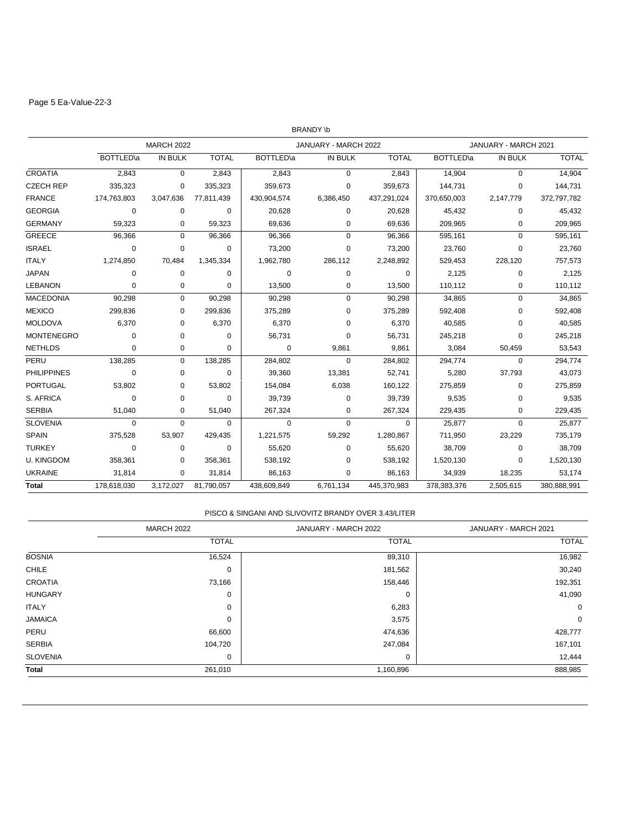## Page 5 Ea-Value-22-3

|                    |             |                   |              |                   | <b>BRANDY \b</b>     |              |                   |                      |              |
|--------------------|-------------|-------------------|--------------|-------------------|----------------------|--------------|-------------------|----------------------|--------------|
|                    |             | <b>MARCH 2022</b> |              |                   | JANUARY - MARCH 2022 |              |                   | JANUARY - MARCH 2021 |              |
|                    | BOTTLED\a   | IN BULK           | <b>TOTAL</b> | <b>BOTTLED</b> \a | <b>IN BULK</b>       | <b>TOTAL</b> | <b>BOTTLED</b> \a | IN BULK              | <b>TOTAL</b> |
| <b>CROATIA</b>     | 2,843       | $\mathbf 0$       | 2,843        | 2,843             | $\mathbf 0$          | 2,843        | 14,904            | $\mathbf 0$          | 14,904       |
| <b>CZECH REP</b>   | 335,323     | 0                 | 335,323      | 359,673           | 0                    | 359,673      | 144,731           | 0                    | 144,731      |
| <b>FRANCE</b>      | 174,763,803 | 3,047,636         | 77,811,439   | 430,904,574       | 6,386,450            | 437,291,024  | 370,650,003       | 2,147,779            | 372,797,782  |
| <b>GEORGIA</b>     | 0           | 0                 | $\Omega$     | 20,628            | 0                    | 20,628       | 45,432            | 0                    | 45,432       |
| <b>GERMANY</b>     | 59,323      | 0                 | 59,323       | 69,636            | 0                    | 69,636       | 209,965           | 0                    | 209,965      |
| <b>GREECE</b>      | 96,366      | $\mathbf 0$       | 96,366       | 96,366            | 0                    | 96,366       | 595,161           | 0                    | 595,161      |
| <b>ISRAEL</b>      | 0           | 0                 | 0            | 73,200            | 0                    | 73,200       | 23,760            | 0                    | 23,760       |
| <b>ITALY</b>       | 1,274,850   | 70,484            | 1,345,334    | 1,962,780         | 286,112              | 2,248,892    | 529,453           | 228.120              | 757,573      |
| <b>JAPAN</b>       | 0           | 0                 | $\Omega$     | $\mathbf 0$       | 0                    | 0            | 2,125             | 0                    | 2,125        |
| <b>LEBANON</b>     | 0           | 0                 | 0            | 13,500            | 0                    | 13,500       | 110,112           | 0                    | 110,112      |
| <b>MACEDONIA</b>   | 90,298      | $\Omega$          | 90,298       | 90,298            | $\Omega$             | 90,298       | 34,865            | $\mathbf 0$          | 34,865       |
| <b>MEXICO</b>      | 299,836     | 0                 | 299,836      | 375,289           | 0                    | 375,289      | 592,408           | $\mathbf 0$          | 592,408      |
| <b>MOLDOVA</b>     | 6,370       | 0                 | 6,370        | 6,370             | 0                    | 6,370        | 40,585            | 0                    | 40,585       |
| <b>MONTENEGRO</b>  | 0           | 0                 | 0            | 56,731            | $\Omega$             | 56,731       | 245,218           | 0                    | 245,218      |
| <b>NETHLDS</b>     | $\mathbf 0$ | 0                 | $\mathbf 0$  | $\mathbf 0$       | 9,861                | 9,861        | 3,084             | 50,459               | 53,543       |
| PERU               | 138,285     | $\mathbf 0$       | 138,285      | 284,802           | $\Omega$             | 284,802      | 294,774           | $\mathbf 0$          | 294,774      |
| <b>PHILIPPINES</b> | 0           | 0                 | 0            | 39,360            | 13,381               | 52,741       | 5,280             | 37,793               | 43,073       |
| <b>PORTUGAL</b>    | 53,802      | 0                 | 53,802       | 154,084           | 6,038                | 160,122      | 275,859           | 0                    | 275,859      |
| S. AFRICA          | 0           | 0                 | $\mathbf 0$  | 39,739            | 0                    | 39,739       | 9,535             | 0                    | 9,535        |
| <b>SERBIA</b>      | 51,040      | 0                 | 51,040       | 267,324           | 0                    | 267,324      | 229,435           | 0                    | 229,435      |
| <b>SLOVENIA</b>    | $\mathbf 0$ | $\Omega$          | $\Omega$     | $\Omega$          | 0                    | $\Omega$     | 25,877            | 0                    | 25,877       |
| <b>SPAIN</b>       | 375,528     | 53,907            | 429,435      | 1,221,575         | 59,292               | 1,280,867    | 711,950           | 23,229               | 735,179      |
| <b>TURKEY</b>      | $\mathbf 0$ | $\mathbf 0$       | $\mathbf 0$  | 55,620            | $\mathbf 0$          | 55,620       | 38,709            | $\mathbf 0$          | 38,709       |
| <b>U. KINGDOM</b>  | 358,361     | 0                 | 358,361      | 538,192           | 0                    | 538,192      | 1,520,130         | 0                    | 1,520,130    |
| <b>UKRAINE</b>     | 31,814      | $\mathbf 0$       | 31,814       | 86,163            | 0                    | 86,163       | 34,939            | 18,235               | 53,174       |
| Total              | 178,618,030 | 3,172,027         | 81,790,057   | 438,609,849       | 6,761,134            | 445,370,983  | 378, 383, 376     | 2,505,615            | 380,888,991  |

#### PISCO & SINGANI AND SLIVOVITZ BRANDY OVER 3.43/LITER

|                 | <b>MARCH 2022</b> | JANUARY - MARCH 2022 | JANUARY - MARCH 2021 |
|-----------------|-------------------|----------------------|----------------------|
|                 | <b>TOTAL</b>      | <b>TOTAL</b>         | <b>TOTAL</b>         |
| <b>BOSNIA</b>   | 16,524            | 89,310               | 16,982               |
| <b>CHILE</b>    | 0                 | 181,562              | 30,240               |
| <b>CROATIA</b>  | 73,166            | 158,446              | 192,351              |
| <b>HUNGARY</b>  | 0                 | 0                    | 41,090               |
| <b>ITALY</b>    | 0                 | 6,283                | 0                    |
| <b>JAMAICA</b>  | 0                 | 3,575                | $\mathbf 0$          |
| PERU            | 66,600            | 474,636              | 428,777              |
| <b>SERBIA</b>   | 104,720           | 247,084              | 167,101              |
| <b>SLOVENIA</b> | 0                 | 0                    | 12,444               |
| <b>Total</b>    | 261,010           | 1,160,896            | 888,985              |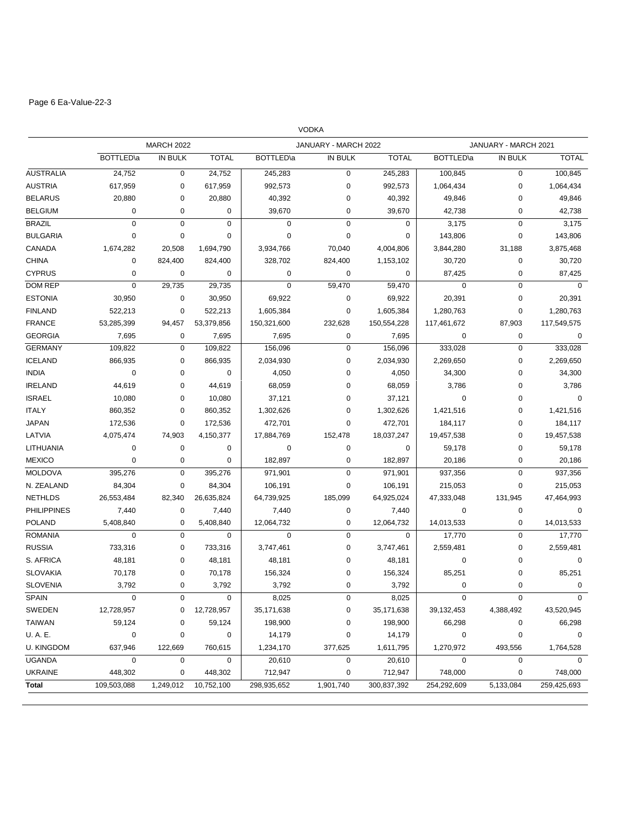# Page 6 Ea-Value-22-3

|                    |                   |                   |                |             | <b>VODKA</b>         |              |                   |                      |              |
|--------------------|-------------------|-------------------|----------------|-------------|----------------------|--------------|-------------------|----------------------|--------------|
|                    |                   | <b>MARCH 2022</b> |                |             | JANUARY - MARCH 2022 |              |                   | JANUARY - MARCH 2021 |              |
|                    | <b>BOTTLED</b> \a | <b>IN BULK</b>    | <b>TOTAL</b>   | BOTTLED\a   | IN BULK              | <b>TOTAL</b> | <b>BOTTLED</b> \a | IN BULK              | <b>TOTAL</b> |
| <b>AUSTRALIA</b>   | 24,752            | $\mathbf 0$       | 24,752         | 245,283     | 0                    | 245,283      | 100,845           | $\mathbf 0$          | 100,845      |
| <b>AUSTRIA</b>     | 617,959           | 0                 | 617,959        | 992,573     | 0                    | 992,573      | 1,064,434         | $\mathbf 0$          | 1,064,434    |
| <b>BELARUS</b>     | 20,880            | 0                 | 20,880         | 40,392      | 0                    | 40,392       | 49,846            | $\mathbf 0$          | 49,846       |
| <b>BELGIUM</b>     | $\mathbf 0$       | 0                 | 0              | 39,670      | 0                    | 39,670       | 42,738            | $\mathbf 0$          | 42,738       |
| <b>BRAZIL</b>      | $\mathbf 0$       | $\mathbf 0$       | $\mathbf 0$    | $\mathbf 0$ | $\mathbf 0$          | $\mathbf 0$  | 3,175             | $\pmb{0}$            | 3,175        |
| <b>BULGARIA</b>    | 0                 | $\mathbf 0$       | 0              | $\mathbf 0$ | 0                    | 0            | 143,806           | $\mathbf 0$          | 143,806      |
| CANADA             | 1,674,282         | 20,508            | 1,694,790      | 3,934,766   | 70,040               | 4,004,806    | 3,844,280         | 31,188               | 3,875,468    |
| <b>CHINA</b>       | $\mathbf 0$       | 824,400           | 824,400        | 328,702     | 824,400              | 1,153,102    | 30,720            | $\pmb{0}$            | 30,720       |
| <b>CYPRUS</b>      | 0                 | $\mathbf 0$       | $\mathbf 0$    | 0           | 0                    | $\mathbf 0$  | 87,425            | $\mathbf 0$          | 87,425       |
| DOM REP            | $\mathbf 0$       | 29,735            | 29,735         | $\mathbf 0$ | 59,470               | 59,470       | $\mathbf 0$       | $\pmb{0}$            | $\mathbf 0$  |
| <b>ESTONIA</b>     | 30,950            | 0                 | 30,950         | 69,922      | 0                    | 69,922       | 20,391            | $\mathbf 0$          | 20,391       |
| <b>FINLAND</b>     | 522,213           | 0                 | 522,213        | 1,605,384   | 0                    | 1,605,384    | 1,280,763         | $\mathbf 0$          | 1,280,763    |
| <b>FRANCE</b>      | 53,285,399        | 94,457            | 53,379,856     | 150,321,600 | 232,628              | 150,554,228  | 117,461,672       | 87,903               | 117,549,575  |
| <b>GEORGIA</b>     | 7,695             | 0                 | 7,695          | 7,695       | 0                    | 7,695        | 0                 | $\mathbf 0$          | 0            |
| <b>GERMANY</b>     | 109,822           | $\mathbf 0$       | 109,822        | 156,096     | 0                    | 156,096      | 333,028           | $\mathbf 0$          | 333,028      |
| <b>ICELAND</b>     | 866,935           | 0                 | 866,935        | 2,034,930   | 0                    | 2,034,930    | 2,269,650         | $\mathbf 0$          | 2,269,650    |
| <b>INDIA</b>       | 0                 | 0                 | $\mathbf 0$    | 4,050       | 0                    | 4,050        | 34,300            | $\mathbf 0$          | 34,300       |
| <b>IRELAND</b>     | 44,619            | 0                 | 44,619         | 68,059      | 0                    | 68,059       | 3,786             | $\mathbf 0$          | 3,786        |
| <b>ISRAEL</b>      | 10,080            | 0                 | 10,080         | 37,121      | 0                    | 37,121       | 0                 | $\mathbf 0$          | $\mathbf 0$  |
| <b>ITALY</b>       | 860,352           | 0                 | 860,352        | 1,302,626   | 0                    | 1,302,626    | 1,421,516         | $\pmb{0}$            | 1,421,516    |
| <b>JAPAN</b>       | 172,536           | 0                 | 172,536        | 472,701     | 0                    | 472,701      | 184,117           | $\mathbf 0$          | 184,117      |
| LATVIA             | 4,075,474         | 74,903            | 4,150,377      | 17,884,769  | 152,478              | 18,037,247   | 19,457,538        | $\mathbf 0$          | 19,457,538   |
| LITHUANIA          | 0                 | 0                 | 0              | 0           | 0                    | 0            | 59,178            | $\mathbf 0$          | 59,178       |
| <b>MEXICO</b>      | 0                 | 0                 | $\mathbf 0$    | 182,897     | 0                    | 182,897      | 20,186            | $\mathbf 0$          | 20,186       |
| <b>MOLDOVA</b>     | 395,276           | $\mathbf 0$       | 395,276        | 971,901     | 0                    | 971,901      | 937,356           | $\mathbf 0$          | 937,356      |
| N. ZEALAND         | 84,304            | 0                 | 84,304         | 106,191     | 0                    | 106,191      | 215,053           | $\mathbf 0$          | 215,053      |
| <b>NETHLDS</b>     | 26,553,484        | 82,340            | 26,635,824     | 64,739,925  | 185,099              | 64,925,024   | 47,333,048        | 131,945              | 47,464,993   |
| <b>PHILIPPINES</b> | 7,440             | 0                 | 7,440          | 7,440       | 0                    | 7,440        | 0                 | $\mathbf 0$          | $\mathbf 0$  |
| <b>POLAND</b>      | 5,408,840         | 0                 | 5,408,840      | 12,064,732  | 0                    | 12,064,732   | 14,013,533        | $\mathbf 0$          | 14,013,533   |
| <b>ROMANIA</b>     | $\mathbf 0$       | $\mathbf 0$       | $\mathbf 0$    | $\mathbf 0$ | $\mathbf 0$          | $\mathbf 0$  | 17,770            | $\mathbf 0$          | 17,770       |
| <b>RUSSIA</b>      | 733,316           | 0                 | 733,316        | 3,747,461   | 0                    | 3,747,461    | 2,559,481         | $\mathbf 0$          | 2,559,481    |
| S. AFRICA          | 48,181            | 0                 | 48,181         | 48,181      | 0                    | 48,181       | 0                 | $\mathbf 0$          | 0            |
| <b>SLOVAKIA</b>    | 70,178            | 0                 | 70,178         | 156,324     | 0                    | 156,324      | 85,251            | 0                    | 85,251       |
| <b>SLOVENIA</b>    | 3,792             | 0                 | 3,792          | 3,792       | 0                    | 3,792        | 0                 | $\mathbf 0$          | $\mathbf 0$  |
| SPAIN              | 0                 | 0                 | 0              | 8,025       | 0                    | 8,025        | 0                 | 0                    | $\mathbf 0$  |
| SWEDEN             | 12,728,957        | 0                 | 12,728,957     | 35,171,638  | 0                    | 35,171,638   | 39,132,453        | 4,388,492            | 43,520,945   |
| TAIWAN             | 59,124            | 0                 | 59,124         | 198,900     | 0                    | 198,900      | 66,298            | 0                    | 66,298       |
| U. A. E.           | $\mathbf 0$       | 0                 | $\overline{0}$ | 14,179      | 0                    | 14,179       | 0                 | $\pmb{0}$            | $\mathbf 0$  |
| <b>U. KINGDOM</b>  | 637,946           | 122,669           | 760,615        | 1,234,170   | 377,625              | 1,611,795    | 1,270,972         | 493,556              | 1,764,528    |
| <b>UGANDA</b>      | $\mathbf 0$       | $\mathbf 0$       | 0              | 20,610      | $\mathbf 0$          | 20,610       | $\mathbf 0$       | $\mathbf 0$          | $\mathbf 0$  |
| <b>UKRAINE</b>     | 448,302           | 0                 | 448,302        | 712,947     | 0                    | 712,947      | 748,000           | $\mathbf 0$          | 748,000      |
| Total              | 109,503,088       | 1,249,012         | 10,752,100     | 298,935,652 | 1,901,740            | 300,837,392  | 254,292,609       | 5,133,084            | 259,425,693  |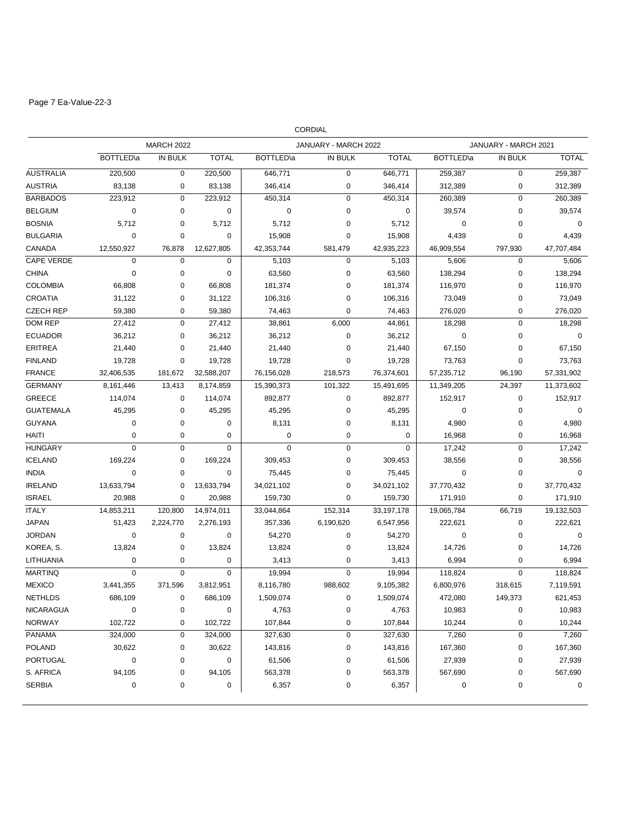# Page 7 Ea-Value-22-3

|                   |                   |                   |              |                   | <b>CORDIAL</b>       |              |                   |                      |              |
|-------------------|-------------------|-------------------|--------------|-------------------|----------------------|--------------|-------------------|----------------------|--------------|
|                   |                   | <b>MARCH 2022</b> |              |                   | JANUARY - MARCH 2022 |              |                   | JANUARY - MARCH 2021 |              |
|                   | <b>BOTTLED</b> \a | IN BULK           | <b>TOTAL</b> | <b>BOTTLED</b> \a | IN BULK              | <b>TOTAL</b> | <b>BOTTLED</b> \a | IN BULK              | <b>TOTAL</b> |
| <b>AUSTRALIA</b>  | 220,500           | $\mathbf 0$       | 220,500      | 646,771           | 0                    | 646,771      | 259,387           | $\mathbf 0$          | 259,387      |
| <b>AUSTRIA</b>    | 83,138            | 0                 | 83,138       | 346,414           | 0                    | 346,414      | 312,389           | 0                    | 312,389      |
| <b>BARBADOS</b>   | 223,912           | $\mathbf 0$       | 223,912      | 450,314           | 0                    | 450,314      | 260,389           | $\mathbf 0$          | 260,389      |
| <b>BELGIUM</b>    | $\mathbf 0$       | 0                 | 0            | 0                 | 0                    | 0            | 39,574            | $\mathbf 0$          | 39,574       |
| <b>BOSNIA</b>     | 5,712             | 0                 | 5,712        | 5,712             | 0                    | 5,712        | 0                 | 0                    | 0            |
| <b>BULGARIA</b>   | 0                 | 0                 | 0            | 15,908            | 0                    | 15,908       | 4,439             | $\mathbf 0$          | 4,439        |
| CANADA            | 12,550,927        | 76,878            | 12,627,805   | 42,353,744        | 581,479              | 42,935,223   | 46,909,554        | 797,930              | 47,707,484   |
| <b>CAPE VERDE</b> | $\mathbf 0$       | $\mathbf 0$       | 0            | 5,103             | 0                    | 5,103        | 5,606             | 0                    | 5,606        |
| <b>CHINA</b>      | $\mathbf 0$       | $\mathbf 0$       | $\mathbf 0$  | 63,560            | 0                    | 63,560       | 138,294           | $\mathbf 0$          | 138,294      |
| <b>COLOMBIA</b>   | 66,808            | 0                 | 66,808       | 181,374           | 0                    | 181,374      | 116,970           | $\mathbf 0$          | 116,970      |
| CROATIA           | 31,122            | 0                 | 31,122       | 106,316           | 0                    | 106,316      | 73,049            | 0                    | 73,049       |
| <b>CZECH REP</b>  | 59,380            | 0                 | 59,380       | 74,463            | $\mathbf 0$          | 74,463       | 276,020           | 0                    | 276,020      |
| DOM REP           | 27,412            | $\mathbf 0$       | 27,412       | 38,861            | 6,000                | 44,861       | 18,298            | $\mathbf 0$          | 18,298       |
| <b>ECUADOR</b>    | 36,212            | $\mathbf 0$       | 36,212       | 36,212            | $\mathbf 0$          | 36,212       | 0                 | $\mathbf 0$          | $\mathbf 0$  |
| <b>ERITREA</b>    | 21,440            | $\mathbf 0$       | 21,440       | 21,440            | 0                    | 21,440       | 67,150            | $\mathbf 0$          | 67,150       |
| <b>FINLAND</b>    | 19,728            | $\mathbf 0$       | 19,728       | 19,728            | 0                    | 19,728       | 73,763            | $\mathbf 0$          | 73,763       |
| <b>FRANCE</b>     | 32,406,535        | 181,672           | 32,588,207   | 76,156,028        | 218,573              | 76,374,601   | 57,235,712        | 96,190               | 57,331,902   |
| <b>GERMANY</b>    | 8,161,446         | 13,413            | 8,174,859    | 15,390,373        | 101,322              | 15,491,695   | 11,349,205        | 24,397               | 11,373,602   |
| <b>GREECE</b>     | 114,074           | $\mathbf 0$       | 114,074      | 892,877           | 0                    | 892,877      | 152,917           | $\mathbf 0$          | 152,917      |
| <b>GUATEMALA</b>  | 45,295            | 0                 | 45,295       | 45,295            | 0                    | 45,295       | 0                 | $\mathbf 0$          | $\mathbf 0$  |
| <b>GUYANA</b>     | 0                 | $\mathbf 0$       | 0            | 8,131             | 0                    | 8,131        | 4,980             | $\mathbf 0$          | 4,980        |
| HAITI             | 0                 | $\mathbf 0$       | 0            | $\mathbf 0$       | 0                    | $\mathbf 0$  | 16,968            | $\mathbf 0$          | 16,968       |
| <b>HUNGARY</b>    | $\mathbf 0$       | $\mathbf 0$       | 0            | $\mathbf 0$       | 0                    | 0            | 17,242            | $\mathbf 0$          | 17,242       |
| <b>ICELAND</b>    | 169,224           | 0                 | 169,224      | 309,453           | 0                    | 309,453      | 38,556            | $\mathbf 0$          | 38,556       |
| <b>INDIA</b>      | 0                 | 0                 | 0            | 75,445            | 0                    | 75,445       | 0                 | $\mathbf 0$          | 0            |
| <b>IRELAND</b>    | 13,633,794        | 0                 | 13,633,794   | 34,021,102        | 0                    | 34,021,102   | 37,770,432        | 0                    | 37,770,432   |
| <b>ISRAEL</b>     | 20,988            | $\mathbf 0$       | 20,988       | 159,730           | $\mathbf 0$          | 159,730      | 171,910           | $\mathbf 0$          | 171,910      |
| <b>ITALY</b>      | 14,853,211        | 120,800           | 14,974,011   | 33,044,864        | 152,314              | 33,197,178   | 19,065,784        | 66,719               | 19,132,503   |
| <b>JAPAN</b>      | 51,423            | 2,224,770         | 2,276,193    | 357,336           | 6,190,620            | 6,547,956    | 222,621           | $\mathbf 0$          | 222,621      |
| <b>JORDAN</b>     | 0                 | $\pmb{0}$         | 0            | 54,270            | 0                    | 54,270       | 0                 | $\mathbf 0$          | 0            |
| KOREA, S.         | 13,824            | 0                 | 13,824       | 13,824            | 0                    | 13,824       | 14,726            | $\mathbf 0$          | 14,726       |
| <b>LITHUANIA</b>  | 0                 | 0                 | $\pmb{0}$    | 3,413             | 0                    | 3,413        | 6,994             | $\mathbf 0$          | 6,994        |
| <b>MARTINQ</b>    | $\mathbf 0$       | $\mathbf 0$       | $\pmb{0}$    | 19,994            | $\mathbf 0$          | 19,994       | 118,824           | $\mathbf 0$          | 118,824      |
| <b>MEXICO</b>     | 3,441,355         | 371,596           | 3,812,951    | 8,116,780         | 988,602              | 9,105,382    | 6,800,976         | 318,615              | 7,119,591    |
| NETHLDS           | 686,109           | 0                 | 686,109      | 1,509,074         | 0                    | 1,509,074    | 472,080           | 149,373              | 621,453      |
| <b>NICARAGUA</b>  | $\pmb{0}$         | 0                 | $\pmb{0}$    | 4,763             | 0                    | 4,763        | 10,983            | 0                    | 10,983       |
| <b>NORWAY</b>     | 102,722           | 0                 | 102,722      | 107,844           | 0                    | 107,844      | 10,244            | $\pmb{0}$            | 10,244       |
| <b>PANAMA</b>     | 324,000           | 0                 | 324,000      | 327,630           | 0                    | 327,630      | 7,260             | 0                    | 7,260        |
| <b>POLAND</b>     | 30,622            | 0                 | 30,622       | 143,816           | 0                    | 143,816      | 167,360           | $\pmb{0}$            | 167,360      |
| <b>PORTUGAL</b>   | $\pmb{0}$         | 0                 | $\pmb{0}$    | 61,506            | 0                    | 61,506       | 27,939            | $\pmb{0}$            | 27,939       |
| S. AFRICA         | 94,105            | 0                 | 94,105       | 563,378           | 0                    | 563,378      | 567,690           | $\pmb{0}$            | 567,690      |
| <b>SERBIA</b>     | 0                 | 0                 | 0            | 6,357             | 0                    | 6,357        | 0                 | 0                    | 0            |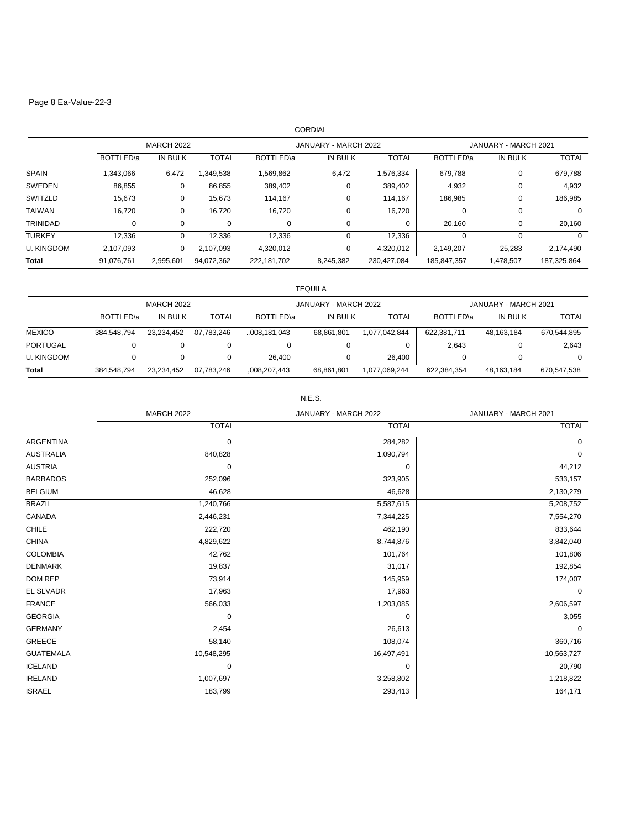## Page 8 Ea-Value-22-3

| CORDIAL           |                   |           |              |                      |           |              |                             |           |              |
|-------------------|-------------------|-----------|--------------|----------------------|-----------|--------------|-----------------------------|-----------|--------------|
|                   | <b>MARCH 2022</b> |           |              | JANUARY - MARCH 2022 |           |              | JANUARY - MARCH 2021        |           |              |
|                   | BOTTLED\a         | IN BULK   | <b>TOTAL</b> | BOTTLED\a            | IN BULK   | <b>TOTAL</b> | <b>BOTTLED</b> <sup>a</sup> | IN BULK   | <b>TOTAL</b> |
| <b>SPAIN</b>      | 1,343,066         | 6,472     | 1,349,538    | 1,569,862            | 6,472     | 1,576,334    | 679,788                     | 0         | 679,788      |
| <b>SWEDEN</b>     | 86,855            | 0         | 86,855       | 389,402              | 0         | 389,402      | 4,932                       | 0         | 4,932        |
| SWITZLD           | 15,673            | 0         | 15,673       | 114,167              | 0         | 114.167      | 186,985                     | 0         | 186,985      |
| <b>TAIWAN</b>     | 16,720            | 0         | 16,720       | 16,720               | $\Omega$  | 16,720       | 0                           | 0         | 0            |
| <b>TRINIDAD</b>   | 0                 | 0         | 0            | 0                    | 0         | 0            | 20,160                      | 0         | 20,160       |
| <b>TURKEY</b>     | 12,336            | $\Omega$  | 12,336       | 12,336               | $\Omega$  | 12,336       | 0                           | $\Omega$  | $\Omega$     |
| <b>U. KINGDOM</b> | 2,107,093         | 0         | 2,107,093    | 4,320,012            | 0         | 4,320,012    | 2,149,207                   | 25,283    | 2,174,490    |
| <b>Total</b>      | 91,076,761        | 2,995,601 | 94,072,362   | 222,181,702          | 8,245,382 | 230,427,084  | 185,847,357                 | 1,478,507 | 187,325,864  |

|                   | <b>TEQUILA</b>    |                |              |                      |            |               |                      |            |              |
|-------------------|-------------------|----------------|--------------|----------------------|------------|---------------|----------------------|------------|--------------|
|                   | <b>MARCH 2022</b> |                |              | JANUARY - MARCH 2022 |            |               | JANUARY - MARCH 2021 |            |              |
|                   | BOTTLED\a         | <b>IN BULK</b> | <b>TOTAL</b> | BOTTLED\a            | IN BULK    | <b>TOTAL</b>  | BOTTLED\a            | IN BULK    | <b>TOTAL</b> |
| <b>MEXICO</b>     | 384,548,794       | 23,234,452     | 07,783,246   | ,008,181,043         | 68,861,801 | 1,077,042,844 | 622,381,711          | 48,163,184 | 670,544,895  |
| <b>PORTUGAL</b>   | 0                 |                |              |                      | υ          |               | 2,643                |            | 2,643        |
| <b>U. KINGDOM</b> |                   |                |              | 26.400               | 0          | 26.400        |                      |            | $\Omega$     |
| <b>Total</b>      | 384.548.794       | 23.234.452     | 07.783.246   | ,008,207,443         | 68,861,801 | 1,077,069,244 | 622,384,354          | 48.163.184 | 670,547,538  |

#### N.E.S.

|                  | <b>MARCH 2022</b> | JANUARY - MARCH 2022 | JANUARY - MARCH 2021 |  |
|------------------|-------------------|----------------------|----------------------|--|
|                  | <b>TOTAL</b>      | <b>TOTAL</b>         | <b>TOTAL</b>         |  |
| <b>ARGENTINA</b> | 0                 | 284,282              | 0                    |  |
| <b>AUSTRALIA</b> | 840,828           | 1,090,794            | $\mathbf 0$          |  |
| <b>AUSTRIA</b>   | $\mathbf 0$       | 0                    | 44,212               |  |
| <b>BARBADOS</b>  | 252,096           | 323,905              | 533,157              |  |
| <b>BELGIUM</b>   | 46,628            | 46,628               | 2,130,279            |  |
| <b>BRAZIL</b>    | 1,240,766         | 5,587,615            | 5,208,752            |  |
| CANADA           | 2,446,231         | 7,344,225            | 7,554,270            |  |
| <b>CHILE</b>     | 222,720           | 462,190              | 833,644              |  |
| <b>CHINA</b>     | 4,829,622         | 8,744,876            | 3,842,040            |  |
| <b>COLOMBIA</b>  | 42,762            | 101,764              | 101,806              |  |
| <b>DENMARK</b>   | 19,837            | 31,017               | 192,854              |  |
| DOM REP          | 73,914            | 145,959              | 174,007              |  |
| <b>EL SLVADR</b> | 17,963            | 17,963               | $\mathbf 0$          |  |
| <b>FRANCE</b>    | 566,033           | 1,203,085            | 2,606,597            |  |
| <b>GEORGIA</b>   | 0                 | 0                    | 3,055                |  |
| <b>GERMANY</b>   | 2,454             | 26,613               | $\mathbf 0$          |  |
| GREECE           | 58,140            | 108,074              | 360,716              |  |
| <b>GUATEMALA</b> | 10,548,295        | 16,497,491           | 10,563,727           |  |
| <b>ICELAND</b>   | 0                 | 0                    | 20,790               |  |
| <b>IRELAND</b>   | 1,007,697         | 3,258,802            | 1,218,822            |  |
| <b>ISRAEL</b>    | 183,799           | 293,413              | 164,171              |  |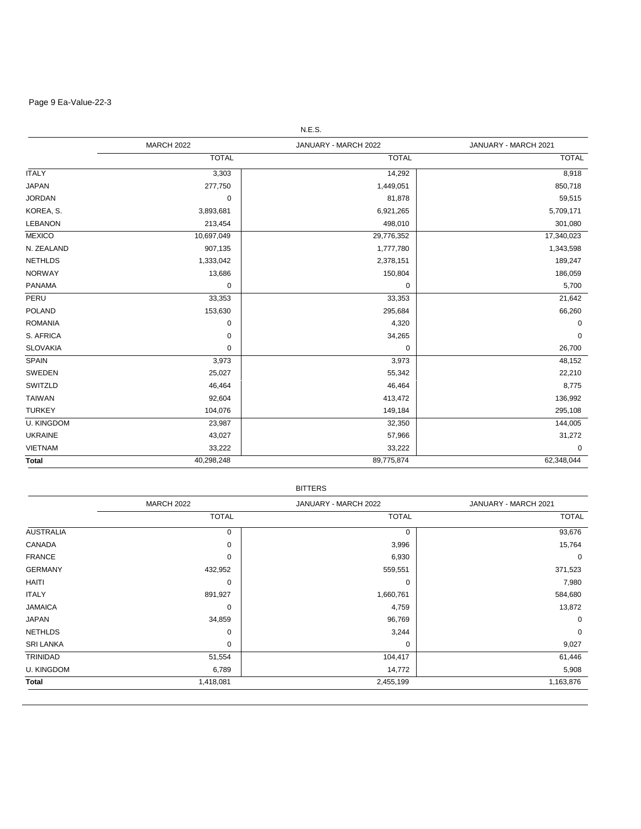# Page 9 Ea-Value-22-3

| N.E.S.            |                   |                      |                      |  |  |
|-------------------|-------------------|----------------------|----------------------|--|--|
|                   | <b>MARCH 2022</b> | JANUARY - MARCH 2022 | JANUARY - MARCH 2021 |  |  |
|                   | <b>TOTAL</b>      | <b>TOTAL</b>         | <b>TOTAL</b>         |  |  |
| <b>ITALY</b>      | 3,303             | 14,292               | 8,918                |  |  |
| <b>JAPAN</b>      | 277,750           | 1,449,051            | 850,718              |  |  |
| <b>JORDAN</b>     | 0                 | 81,878               | 59,515               |  |  |
| KOREA, S.         | 3,893,681         | 6,921,265            | 5,709,171            |  |  |
| <b>LEBANON</b>    | 213,454           | 498,010              | 301,080              |  |  |
| <b>MEXICO</b>     | 10,697,049        | 29,776,352           | 17,340,023           |  |  |
| N. ZEALAND        | 907,135           | 1,777,780            | 1,343,598            |  |  |
| <b>NETHLDS</b>    | 1,333,042         | 2,378,151            | 189,247              |  |  |
| <b>NORWAY</b>     | 13,686            | 150,804              | 186,059              |  |  |
| <b>PANAMA</b>     | 0                 | 0                    | 5,700                |  |  |
| PERU              | 33,353            | 33,353               | 21,642               |  |  |
| <b>POLAND</b>     | 153,630           | 295,684              | 66,260               |  |  |
| <b>ROMANIA</b>    | 0                 | 4,320                | 0                    |  |  |
| S. AFRICA         | 0                 | 34,265               | 0                    |  |  |
| <b>SLOVAKIA</b>   | 0                 | 0                    | 26,700               |  |  |
| <b>SPAIN</b>      | 3,973             | 3,973                | 48,152               |  |  |
| SWEDEN            | 25,027            | 55,342               | 22,210               |  |  |
| SWITZLD           | 46,464            | 46,464               | 8,775                |  |  |
| <b>TAIWAN</b>     | 92,604            | 413,472              | 136,992              |  |  |
| <b>TURKEY</b>     | 104,076           | 149,184              | 295,108              |  |  |
| <b>U. KINGDOM</b> | 23,987            | 32,350               | 144,005              |  |  |
| <b>UKRAINE</b>    | 43,027            | 57,966               | 31,272               |  |  |
| <b>VIETNAM</b>    | 33,222            | 33,222               | 0                    |  |  |
| <b>Total</b>      | 40,298,248        | 89,775,874           | 62,348,044           |  |  |

| 3Ľ<br>TTFR |
|------------|
|------------|

|                   | <b>MARCH 2022</b> | JANUARY - MARCH 2022 | JANUARY - MARCH 2021 |  |
|-------------------|-------------------|----------------------|----------------------|--|
|                   | <b>TOTAL</b>      | <b>TOTAL</b>         | <b>TOTAL</b>         |  |
| <b>AUSTRALIA</b>  | 0                 | 0                    | 93,676               |  |
| CANADA            | 0                 | 3,996                | 15,764               |  |
| <b>FRANCE</b>     | 0                 | 6,930                | $\mathbf 0$          |  |
| <b>GERMANY</b>    | 432,952           | 559,551              | 371,523              |  |
| HAITI             | 0                 | 0                    | 7,980                |  |
| <b>ITALY</b>      | 891,927           | 1,660,761            | 584,680              |  |
| <b>JAMAICA</b>    | 0                 | 4,759                | 13,872               |  |
| <b>JAPAN</b>      | 34,859            | 96,769               | $\mathbf 0$          |  |
| <b>NETHLDS</b>    | $\mathbf 0$       | 3,244                | 0                    |  |
| <b>SRI LANKA</b>  | 0                 | 0                    | 9,027                |  |
| TRINIDAD          | 51,554            | 104,417              | 61,446               |  |
| <b>U. KINGDOM</b> | 6,789             | 14,772               | 5,908                |  |
| Total             | 1,418,081         | 2,455,199            | 1,163,876            |  |